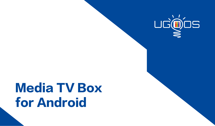

# Media TV Box for Android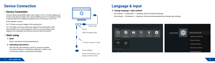### **Device Connection Language & Input**

### **• Device Connection**

Connect device using HDMI cable: insert cable in LCD TV or other display and connect with device another side. Choose HDMI source in TV settings in order to get the signal from HDMI port (please refer to the manual of your TV):

Power adapter connect

For TV Boxes use power adapter from packing box.

For TV Dongles use micro USB power adapter from packing box; USB Host interface use 2.4 GHZ equipment. Be sure you use proper power adapters are compatible with devices and your electrical system.

### **• Start using**

#### **1. Boot:**

Plug in, the device will automatically boot.

#### **2. Operating instructions:**

Boot into the main interface, use RC or mouse to operate. For mouse: left key is «confirmed», right key is «return», and scroll mouse wheel is «up and down the page».



(Photo for reference only, please prevail in kind)

#### **3. Change language / input method:**

Run settings - > Preferences - > Language, select the desired language.

Run settings - > Preferences - > Keyboard, choose desired keyboards and change input settings.

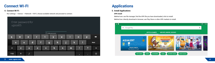### **Connect WI-FI**

#### **4. Connect Wi-Fi:**

Run settings - > Device - > Network- > Wi-Fi, choose available network and proceed to connect.



# **Applications**

#### **5. Install Applications**

#### **APK Install**

Method one: use file manager, find the APK file you have downloaded, click to install. Method two: directly download in browser, use Play Store or other APK markets to install.

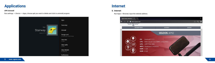### **Applications**

#### **APK Uninstall**

Run settings - > Device - > Apps, choose apk you want to delete and click to uninstall program.



### **Internet**

#### **6. Internet:**

Run Apps -> Browser, input the website address.

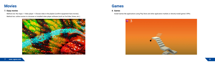### **Movies Games**

### **7. Enjoy movies**

Method one: Run Apps -> Video player -> Choose video in the playlist (confirm equipment have movies). Method two: online movies in a browser or installed video player software (such as YouTube, Vimeo, etc.).



#### **8. Games**

Install Games like applications using Play Store and other application markets or directly install games' APKs.

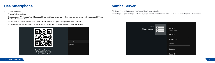### **Use Smartphone**

#### **9. Ugoos settings.**

Fireasy Wireless Assistant

Users can control TV Box, play Android games with your mobile device being a wireless game pad and share media resources with Ugoos Box through the application.

You can activate Fireasy assistant from settings menu: Settings -> Ugoos Settings -> Wireless Assistant.

Mobile application for IOS and Android devices you can download from ugoos.net/remote/ or scan QR code



### **Samba Server**

File Server gives ability to share video/media/files in local network.

Run settings - > Ugoos settings - > File server, set your own login and password for secure server or set it open for all local network.

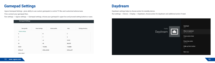### **Gamepad Settings**

Г

Ugoos Gamepad Settings - gives ability to use custom gamepads to control TV Box and customize buttons/axes. First, connect your gamepad then,

Run settings - > Ugoos settings - > Gamepad settings, choose your gamepad in upper box and proceed setting buttons or axes.

| <b>Gamepad Settings</b> |                         |                       |                     |  |           |                         |                    |  |
|-------------------------|-------------------------|-----------------------|---------------------|--|-----------|-------------------------|--------------------|--|
|                         | Save profile            | <b>Reset settings</b> | Delete profile      |  |           | Help                    | Settings directory |  |
|                         | <b>Buttons settings</b> |                       |                     |  |           |                         |                    |  |
|                         | A                       |                       | B                   |  |           | C                       |                    |  |
|                         | X                       |                       | Y<br>L2             |  |           | z<br><b>START</b>       |                    |  |
|                         | L1                      |                       |                     |  |           |                         |                    |  |
|                         | R1                      |                       | R2<br><b>THUMBL</b> |  |           | SELECT<br><b>THUMBR</b> |                    |  |
|                         | MODE                    |                       |                     |  |           |                         |                    |  |
|                         | DPAD_UP                 | DPAD_DOWN             |                     |  | DPAD_LEFT |                         |                    |  |
|                         | DPAD RIGHT              |                       |                     |  |           |                         |                    |  |

## **Daydream**

Daydream settings helps to choose action for standby device. Run settings - > Device - > Display - > Daydream, choose action for daydream and additional action if need.

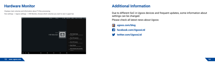### **Hardware Monitor**

Displays main volumes and information about TV Box processing.

Run settings - > Ugoos settings - > HW Monitor, choose which volumes you want to see in upper bar.



### **Additional Information**

Due to different SoC in Ugoos devices and frequent updates, some information about settings can be changed.

Please check all latest news about Ugoos:

**ugoos.com/blog facebook.com/UgoosLtd twitter.com/UgoosLtd**

**13 www. ugoos.com 14**